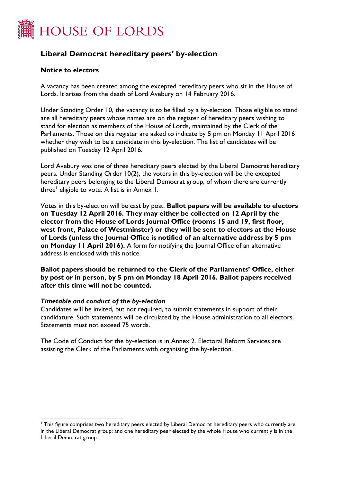

# **Liberal Democrat hereditary peers' by-election**

#### **Notice to electors**

A vacancy has been created among the excepted hereditary peers who sit in the House of Lords. It arises from the death of Lord Avebury on 14 February 2016.

Under Standing Order 10, the vacancy is to be filled by a by-election. Those eligible to stand are all hereditary peers whose names are on the register of hereditary peers wishing to stand for election as members of the House of Lords, maintained by the Clerk of the Parliaments. Those on this register are asked to indicate by 5 pm on Monday 11 April 2016 whether they wish to be a candidate in this by-election. The list of candidates will be published on Tuesday 12 April 2016.

Lord Avebury was one of three hereditary peers elected by the Liberal Democrat hereditary peers. Under Standing Order 10(2), the voters in this by-election will be the excepted hereditary peers belonging to the Liberal Democrat group, of whom there are currently three<sup>'</sup> eligible to vote. A list is in Annex 1.

Votes in this by-election will be cast by post. **Ballot papers will be available to electors on Tuesday 12 April 2016. They may either be collected on 12 April by the elector from the House of Lords Journal Office (rooms 15 and 19, first floor, west front, Palace of Westminster) or they will be sent to electors at the House of Lords (unless the Journal Office is notified of an alternative address by 5 pm on Monday 11 April 2016).** A form for notifying the Journal Office of an alternative address is enclosed with this notice.

**Ballot papers should be returned to the Clerk of the Parliaments' Office, either by post or in person, by 5 pm on Monday 18 April 2016. Ballot papers received after this time will not be counted.**

#### *Timetable and conduct of the by-election*

 $\overline{a}$ 

Candidates will be invited, but not required, to submit statements in support of their candidature. Such statements will be circulated by the House administration to all electors. Statements must not exceed 75 words.

The Code of Conduct for the by-election is in Annex 2. Electoral Reform Services are assisting the Clerk of the Parliaments with organising the by-election.

<sup>1</sup> This figure comprises two hereditary peers elected by Liberal Democrat hereditary peers who currently are in the Liberal Democrat group; and one hereditary peer elected by the whole House who currently is in the Liberal Democrat group.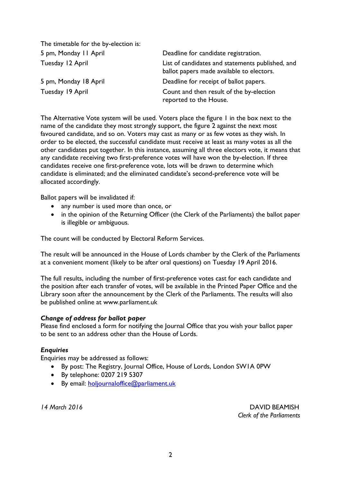| The timetable for the by-election is: |                                                                                               |
|---------------------------------------|-----------------------------------------------------------------------------------------------|
| 5 pm, Monday II April                 | Deadline for candidate registration.                                                          |
| Tuesday 12 April                      | List of candidates and statements published, and<br>ballot papers made available to electors. |
| 5 pm, Monday 18 April                 | Deadline for receipt of ballot papers.                                                        |
| Tuesday 19 April                      | Count and then result of the by-election<br>reported to the House.                            |

The Alternative Vote system will be used. Voters place the figure 1 in the box next to the name of the candidate they most strongly support, the figure 2 against the next most favoured candidate, and so on. Voters may cast as many or as few votes as they wish. In order to be elected, the successful candidate must receive at least as many votes as all the other candidates put together. In this instance, assuming all three electors vote, it means that any candidate receiving two first-preference votes will have won the by-election. If three candidates receive one first-preference vote, lots will be drawn to determine which candidate is eliminated; and the eliminated candidate's second-preference vote will be allocated accordingly.

Ballot papers will be invalidated if:

- any number is used more than once, or
- in the opinion of the Returning Officer (the Clerk of the Parliaments) the ballot paper is illegible or ambiguous.

The count will be conducted by Electoral Reform Services.

The result will be announced in the House of Lords chamber by the Clerk of the Parliaments at a convenient moment (likely to be after oral questions) on Tuesday 19 April 2016.

The full results, including the number of first-preference votes cast for each candidate and the position after each transfer of votes, will be available in the Printed Paper Office and the Library soon after the announcement by the Clerk of the Parliaments. The results will also be published online at [www.parliament.uk](http://www.parliament.uk/)

## *Change of address for ballot paper*

Please find enclosed a form for notifying the Journal Office that you wish your ballot paper to be sent to an address other than the House of Lords.

## *Enquiries*

Enquiries may be addressed as follows:

- By post: The Registry, Journal Office, House of Lords, London SW1A 0PW
- By telephone: 0207 219 5307
- By email: [holjournaloffice@parliament.uk](mailto:holjournaloffice@parliament.uk)

*14 March 2016* DAVID BEAMISH  *Clerk of the Parliaments*